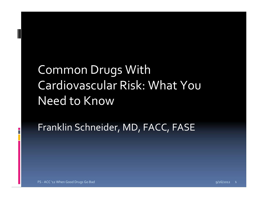# Common Drugs With Cardiovascular Risk: What You Need to Know

Franklin Schneider, MD, FACC, FASE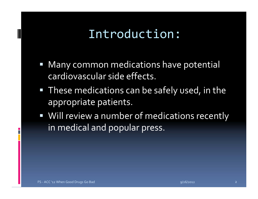## Introduction:

- Many common medications have potential cardiovascular side effects.
- These medications can be safely used, in the appropriate patients.
- Will review a number of medications recently in medical and popular press.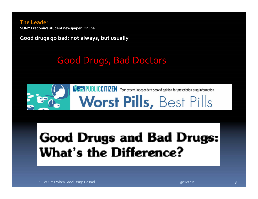**The Leader SUNY Fredonia's student newspaper: Online**

**Good drugs go bad: not always, but usually**

## Good Drugs, Bad Doctors



# **Good Drugs and Bad Drugs:** What's the Difference?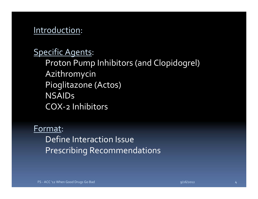#### Introduction:

#### Specific Agents:

Proton Pump Inhibitors (and Clopidogrel) Azithromycin Pioglitazone (Actos) NSAIDsCOX‐2 Inhibitors

Format: Define Interaction Issue Prescribing Recommendations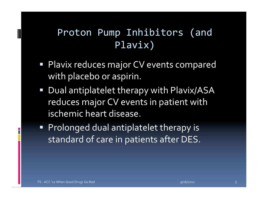### Proton Pump Inhibitors (and Plavix)

- Plavix reduces major CV events compared with placebo or aspirin.
- Dual antiplatelet therapy with Plavix/ASA reduces major CV events in patient with ischemic heart disease.
- Prolonged dual antiplatelet therapy is standard of care in patients after DES.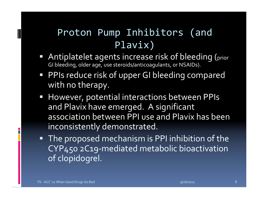## Proton Pump Inhibitors (and Plavix)

- $\Box$ Antiplatelet agents increase risk of bleeding (prior GI bleeding, older age, use steroids/anticoagulants, or NSAIDs).
- PPIs reduce risk of upper GI bleeding compared with no therapy.
- **However, potential interactions between PPIs** and Plavix have emerged. <sup>A</sup> significant association between PPI use and Plavix has been inconsistently demonstrated.
- The proposed mechanism is PPI inhibition of the CYP450 2C19‐mediated metabolic bioactivation of clopidogrel.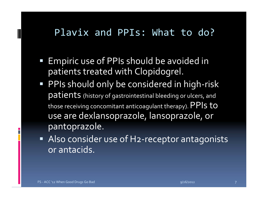#### Plavix and PPIs: What to do?

- **Empiric use of PPIs should be avoided in** patients treated with Clopidogrel.
- PPIs should only be considered in high‐risk patients (history of gastrointestinal bleeding or ulcers, and those receiving concomitant anticoagulant therapy).  $\mathsf{PPIs}\, \mathsf{to}$ use are dexlansoprazole, lansoprazole, or pantoprazole.
- Also consider use of H2-receptor antagonists or antacids.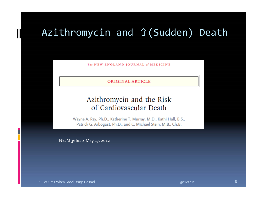#### Azithromycin and  $\hat{U}$  (Sudden) Death

The NEW ENGLAND JOURNAL of MEDICINE

ORIGINAL ARTICLE

#### Azithromycin and the Risk of Cardiovascular Death

Wayne A. Ray, Ph.D., Katherine T. Murray, M.D., Kathi Hall, B.S., Patrick G. Arbogast, Ph.D., and C. Michael Stein, M.B., Ch.B.

NEJM 366:20 May 17, <sup>2012</sup>

FS ‐ ACC '12 When Good Drugs Go Bad 9/26/2012 8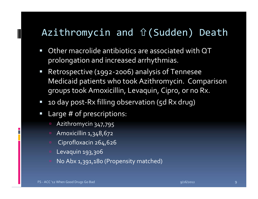#### Azithromycin and <del>介</del>(Sudden) Death

- $\Box$  Other macrolide antibiotics are associated with QT prolongation and increased arrhythmias.
- $\mathcal{L}_{\mathcal{A}}$ Retrospective (1992-2006) analysis of Tennesee Medicaid patients who took Azithromycin. Comparison groups took Amoxicillin, Levaquin, Cipro, or no Rx.
- T. ■ 10 day post-Rx filling observation (5d Rx drug)
- $\Box$ Large # of prescriptions:
	- Azithromycin 347,795
	- Ξ ■ Amoxicillin 1,348,672
	- Ciprofloxacin 264,626
	- Levaquin 193,306
	- No Abx 1,391,180 (Propensity matched)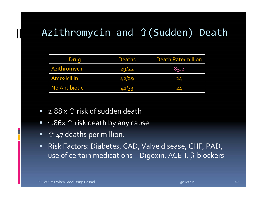#### Azithromycin and  $\hat{U}$  (Sudden) Death

| Drug          | Deaths | Death Rate/million |
|---------------|--------|--------------------|
| Azithromycin  | 29/22  | 85.2               |
| Amoxicillin   | 42/29  | 24                 |
| No Antibiotic | 41/33  | 24                 |

- $\mathcal{L}_{\mathcal{A}}$ ■ 2.88 x  $\hat{U}$  risk of sudden death
- $\Box$ ■ 1.86x û risk death by any cause
- $\blacksquare$  $\textcolor{blue}\blacksquare$   $\textcolor{red}\Uparrow$  47 deaths per million.
- $\blacksquare$ ■ Risk Factors: Diabetes, CAD, Valve disease, CHF, PAD, use of certain medications – Digoxin, ACE-I,  $\beta$ -blockers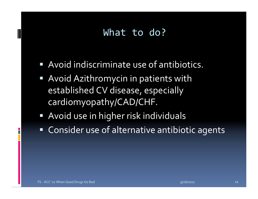#### What to do?

- Avoid indiscriminate use of antibiotics.
- Avoid Azithromycin in patients with established CV disease, especially cardiomyopathy/CAD/CHF.
- Avoid use in higher risk individuals
- Consider use of alternative antibiotic agents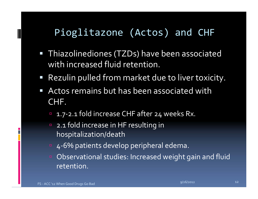## Pioglitazone (Actos) and CHF

- **Thiazolinediones (TZDs) have been associated** with increased fluid retention.
- Rezulin pulled from market due to liver toxicity.
- Actos remains but has been associated with CHF.
	- 1.7-2.1 fold increase CHF after 24 weeks Rx.
	- 2.1 fold increase in HF resulting in hospitalization/death
	- 4-6% patients develop peripheral edema.
	- Observational studies: Increased weight gain and fluid retention.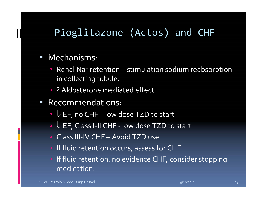#### Pioglitazone (Actos) and CHF

#### Mechanisms:

- $\Box$ ■ Renal Na<sup>+</sup> retention – stimulation sodium reabsorption in collecting tubule.
- ? Aldosterone mediated effect
- $\mathbb{R}^2$  Recommendations:
	- $\Box \quad \Downarrow$  EF, no CHF low dose TZD to start
	- $\mathsf{\_}$   $\mathsf{\bot}$  EF, Class I-II CHF low dose TZD to start
	- □ Class III-IV CHF Avoid TZD use
	- **If fluid retention occurs, assess for CHF.**
	- □ If fluid retention, no evidence CHF, consider stopping medication.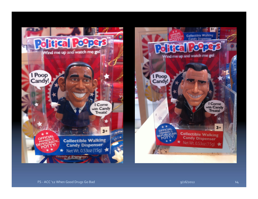

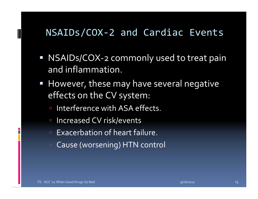- NSAIDs/COX-2 commonly used to treat pain and inflammation.
- **However, these may have several negative** effects on the CV system:
	- $\Box$ □ Interference with ASA effects.
	- $\blacksquare$ **Increased CV risk/events**
	- **Exacerbation of heart failure.**
	- □ Cause (worsening) HTN control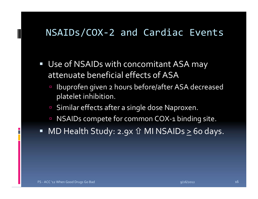- $\mathcal{L}_{\mathcal{A}}$  Use of NSAIDs with concomitant ASA may attenuate beneficial effects of ASA
	- $\Box$  Ibuprofen given <sup>2</sup> hours before/after ASA decreased platelet inhibition.
	- Similar effects after a single dose Naproxen.
	- $\blacksquare$ ■ NSAIDs compete for common COX-1 binding site.
- MD Health Study: 2.9x û MI NSAIDs <u>></u> 60 days.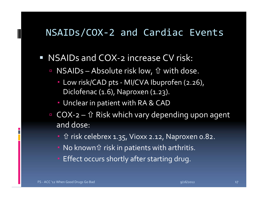- NSAIDs and COX-2 increase CV risk:
	- $\blacksquare$ ■ NSAIDs – Absolute risk low, û with dose.
		- **Low risk/CAD pts MI/CVA Ibuprofen (2.26),** Diclofenac (1.6), Naproxen (1.23).
		- Unclear in patient with RA & CAD
	- COX-2 û Risk which vary depending upon agent and dose:
		- $\,$   $\,$   $\,$   $\,$   $\,$   $\,$  risk celebrex 1.35, Vioxx 2.12, Naproxen 0.82.
		- $\blacksquare$  No known  $\Upsilon$  risk in patients with arthritis.
		- **Effect occurs shortly after starting drug.**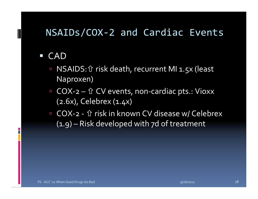#### $\mathcal{L}_{\mathcal{A}}$ CAD

- $\blacksquare$ □ NSAIDS: û risk death, recurrent MI 1.5x (least Naproxen)
- $\Box$ ■ COX-2 – û CV events, non-cardiac pts.: Vioxx (2.6x), Celebrex (1.4x)
- $\blacksquare$ ■ COX-2 - û risk in known CV disease w/ Celebrex (1.9) – Risk developed with 7d of treatment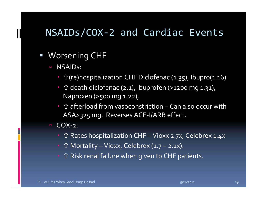- Worsening CHF
	- $\Box$  NSAIDs:
		- û(re)hospitalization CHF Diclofenac (1.35), Ibupro(1.16)
		- $\textcolor{black}{\bullet}$   $\textcolor{black}{\hat{\textbf{u}}}$  death diclofenac (2.1), Ibuprofen (>1200 mg 1.31), Naproxen (>500 mg 1.22),
		- $\Box$   $\Uparrow$  afterload from vasoconstriction Can also occur with ASA>325 mg. Reverses ACE‐I/ARB effect.
	- $\mathbf{B}^{\mathrm{eff}}$  COX‐2:
		- $\textcolor{red}{\bullet}$   $\textcolor{black}{\hat{\textbf{n}}}$  Rates hospitalization CHF Vioxx 2.7x, Celebrex 1.4x
		- $\textcolor{red}{\bullet}$   $\textcolor{black}{\hat{u}}$  Mortality Vioxx, Celebrex (1.7 2.1x).
		- $\textcolor{red}{\bullet}$   $\textcolor{black}{\hat{\textbf{u}}}$  Risk renal failure when given to CHF patients.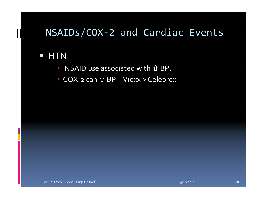#### HTN

 $\overline{\phantom{a}}$ 

- $\blacksquare$  NSAID use associated with  $\Uparrow$  BP.
- COX-2 can û BP Vioxx > Celebrex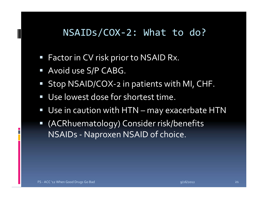#### NSAIDs/COX‐2: What to do?

- **Factor in CV risk prior to NSAID Rx.**
- Avoid use S/P CABG.
- Stop NSAID/COX-2 in patients with MI, CHF.
- Use lowest dose for shortest time.
- Use in caution with HTN – may exacerbate HTN
- (ACRhuematology) Consider risk/benefits NSAIDs ‐ Naproxen NSAID of choice.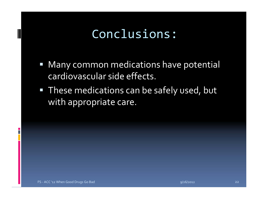## Conclusions:

- Many common medications have potential cardiovascular side effects.
- These medications can be safely used, but with appropriate care.